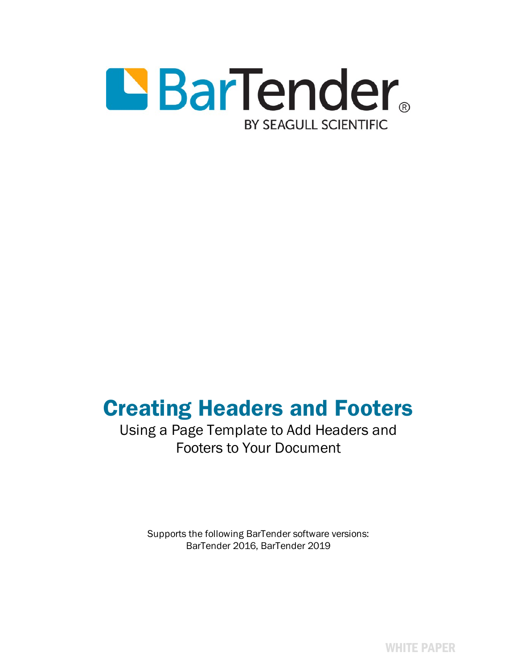

# Creating Headers and Footers

# Using a Page Template to Add Headers and Footers to Your Document

Supports the following BarTender software versions: BarTender 2016, BarTender 2019

WHITE PAPER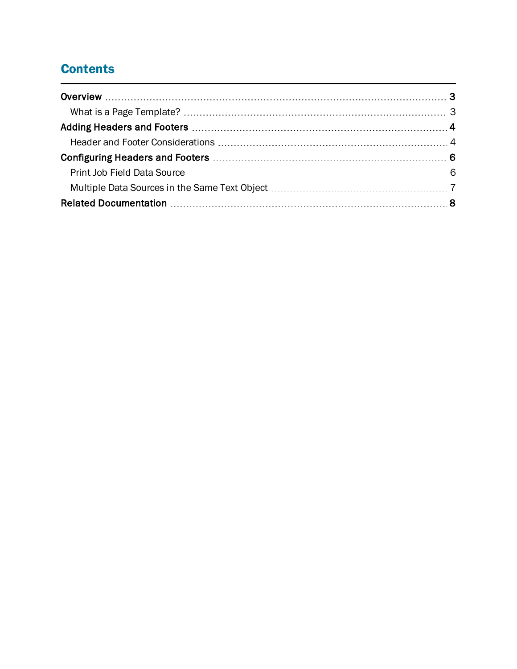# **Contents**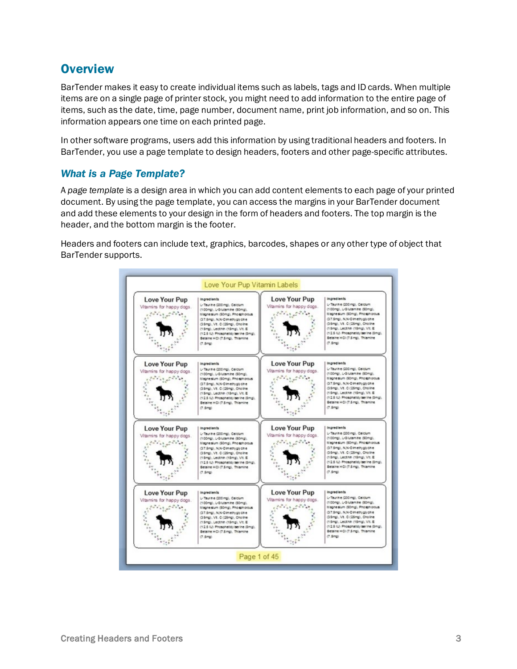## <span id="page-2-0"></span>**Overview**

BarTender makes it easy to create individual items such as labels, tags and ID cards. When multiple items are on a single page of printer stock, you might need to add information to the entire page of items, such as the date, time, page number, document name, print job information, and so on. This information appears one time on each printed page.

In other software programs, users add this information by using traditional headers and footers. In BarTender, you use a page template to design headers, footers and other page-specific attributes.

### <span id="page-2-1"></span>*What is a Page Template?*

A *page template* is a design area in which you can add content elements to each page of your printed document. By using the page template, you can access the margins in your BarTender document and add these elements to your design in the form of headers and footers. The top margin is the header, and the bottom margin is the footer.

Headers and footers can include text, graphics, barcodes, shapes or any other type of object that BarTender supports.

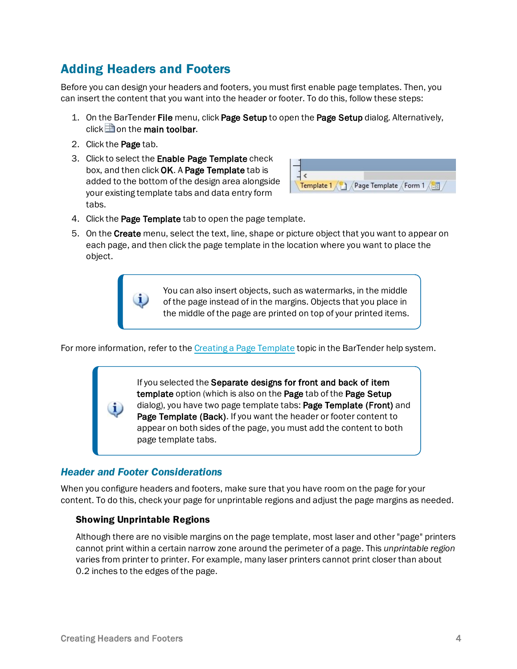# <span id="page-3-0"></span>Adding Headers and Footers

Before you can design your headers and footers, you must first enable page templates. Then, you can insert the content that you want into the header or footer. To do this, follow these steps:

- 1. On the BarTender File menu, click Page Setup to open the Page Setup dialog. Alternatively, click  $\Box$  on the main toolbar.
- 2. Click the Page tab.
- 3. Click to select the Enable Page Template check box, and then click OK. A Page Template tab is added to the bottom of the design area alongside your existing template tabs and data entry form tabs.



- 4. Click the Page Template tab to open the page template.
- 5. On the Create menu, select the text, line, shape or picture object that you want to appear on each page, and then click the page template in the location where you want to place the object.

You can also insert objects, such as watermarks, in the middle of the page instead of in the margins. Objects that you place in the middle of the page are printed on top of your printed items.

For more information, refer to the Creating a Page [Template](http://help.seagullscientific.com/#Page_Template.htm) topic in the BarTender help system.

If you selected the Separate designs for front and back of item template option (which is also on the Page tab of the Page Setup dialog), you have two page template tabs: Page Template (Front) and Page Template (Back). If you want the header or footer content to appear on both sides of the page, you must add the content to both page template tabs.

### <span id="page-3-1"></span>*Header and Footer Considerations*

When you configure headers and footers, make sure that you have room on the page for your content. To do this, check your page for unprintable regions and adjust the page margins as needed.

#### Showing Unprintable Regions

Although there are no visible margins on the page template, most laser and other "page" printers cannot print within a certain narrow zone around the perimeter of a page. This *unprintable region* varies from printer to printer. For example, many laser printers cannot print closer than about 0.2 inches to the edges of the page.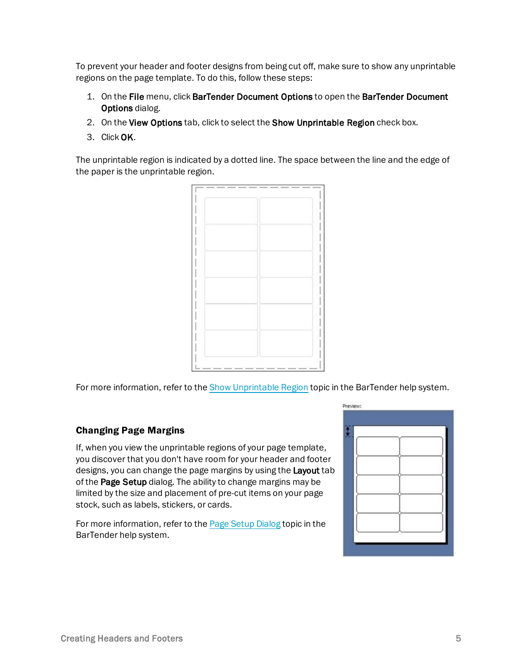To prevent your header and footer designs from being cut off, make sure to show any unprintable regions on the page template. To do this, follow these steps:

- 1. On the File menu, click BarTender Document Options to open the BarTender Document Options dialog.
- 2. On the View Options tab, click to select the Show Unprintable Region check box.
- 3. Click OK.

The unprintable region is indicated by a dotted line. The space between the line and the edge of the paper is the unprintable region.



For more information, refer to the Show [Unprintable](http://help.seagullscientific.com/#view_view_show.htm) Region topic in the BarTender help system.

#### Changing Page Margins

If, when you view the unprintable regions of your page template, you discover that you don't have room for your header and footer designs, you can change the page margins by using the **Layout** tab of the Page Setup dialog. The ability to change margins may be limited by the size and placement of pre-cut items on your page stock, such as labels, stickers, or cards.

For more information, refer to the Page Setup [Dialog](http://help.seagullscientific.com/#HIDD_PAGESETUP.htm) topic in the BarTender help system.

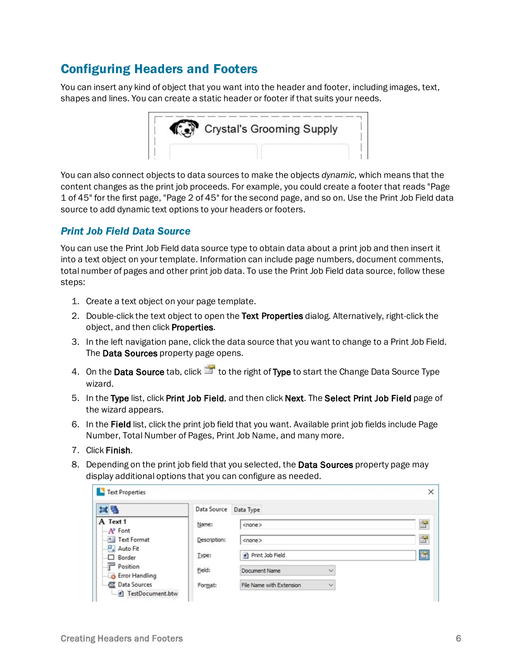# <span id="page-5-0"></span>Configuring Headers and Footers

You can insert any kind of object that you want into the header and footer, including images, text, shapes and lines. You can create a static header or footer if that suits your needs.



You can also connect objects to data sources to make the objects *dynamic*, which means that the content changes as the print job proceeds. For example, you could create a footer that reads "Page 1 of 45" for the first page, "Page 2 of 45" for the second page, and so on. Use the Print Job Field data source to add dynamic text options to your headers or footers.

### <span id="page-5-1"></span>*Print Job Field Data Source*

You can use the Print Job Field data source type to obtain data about a print job and then insert it into a text object on your template. Information can include page numbers, document comments, total number of pages and other print job data. To use the Print Job Field data source, follow these steps:

- 1. Create a text object on your page template.
- 2. Double-click the text object to open the Text Properties dialog. Alternatively, right-click the object, and then click Properties.
- 3. In the left navigation pane, click the data source that you want to change to a Print Job Field. The Data Sources property page opens.
- 4. On the Data Source tab, click **the right of Type** to start the Change Data Source Type wizard.
- 5. In the Type list, click Print Job Field, and then click Next. The Select Print Job Field page of the wizard appears.
- 6. In the Field list, click the print job field that you want. Available print job fields include Page Number, Total Number of Pages, Print Job Name, and many more.
- 7. Click Finish.
- 8. Depending on the print job field that you selected, the Data Sources property page may display additional options that you can configure as needed.

| <b>Text Properties</b>              |              |                                          | × |
|-------------------------------------|--------------|------------------------------------------|---|
| 其后                                  | Data Source  | Data Type                                |   |
| A Text 1<br>$-A^3$ Font             | Name:        | <none></none>                            | F |
| A Text Format<br>Auto Fit           | Description: | <none></none>                            | F |
| $\Box$ Border                       | Type:        | <sup>#</sup> ] Print Job Field           | E |
| Position<br><b>B</b> Error Handling | Field:       | Document Name<br>$\checkmark$            |   |
| Data Sources<br>FestDocument.btw    | Format:      | File Name with Extension<br>$\checkmark$ |   |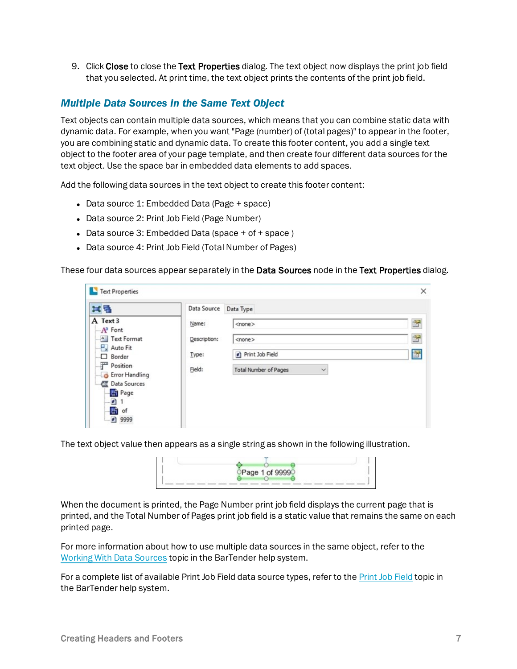9. Click Close to close the Text Properties dialog. The text object now displays the print job field that you selected. At print time, the text object prints the contents of the print job field.

### <span id="page-6-0"></span>*Multiple Data Sources in the Same Text Object*

Text objects can contain multiple data sources, which means that you can combine static data with dynamic data. For example, when you want "Page (number) of (total pages)" to appear in the footer, you are combining static and dynamic data. To create this footer content, you add a single text object to the footer area of your page template, and then create four different data sources for the text object. Use the space bar in embedded data elements to add spaces.

Add the following data sources in the text object to create this footer content:

- Data source 1: Embedded Data (Page + space)
- Data source 2: Print Job Field (Page Number)
- Data source 3: Embedded Data (space + of + space)
- Data source 4: Print Job Field (Total Number of Pages)

These four data sources appear separately in the Data Sources node in the Text Properties dialog.

| 試量                                  | Data Source  | Data Type                                    |   |
|-------------------------------------|--------------|----------------------------------------------|---|
| A Text 3<br>$-A^a$ Font             | Name:        | $<$ none $>$                                 | 子 |
| A Text Format                       | Description: | $<$ none $>$                                 | F |
| Auto Fit<br><b>□</b> Border         | Type:        | Print Job Field                              | 圗 |
| Position<br><b>B</b> Error Handling | Field:       | <b>Total Number of Pages</b><br>$\checkmark$ |   |
| <b>Data Sources</b><br><b>Page</b>  |              |                                              |   |
| 町                                   |              |                                              |   |
| HD of<br>■ 9999                     |              |                                              |   |

The text object value then appears as a single string as shown in the following illustration.



When the document is printed, the Page Number print job field displays the current page that is printed, and the Total Number of Pages print job field is a static value that remains the same on each printed page.

For more information about how to use multiple data sources in the same object, refer to the Working With Data [Sources](http://help.seagullscientific.com/#Overview_of_Data_Sources.htm) topic in the BarTender help system.

For a complete list of available Print Job Field data source types, refer to the Print Job [Field](http://help.seagullscientific.com/#DS_PrintJobField.htm) topic in the BarTender help system.